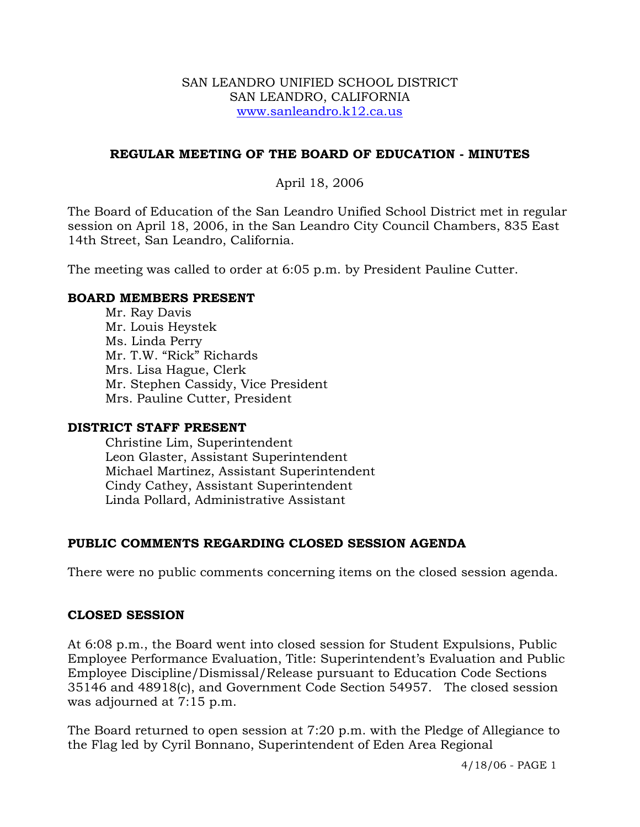#### SAN LEANDRO UNIFIED SCHOOL DISTRICT SAN LEANDRO, CALIFORNIA www.sanleandro.k12.ca.us

#### **REGULAR MEETING OF THE BOARD OF EDUCATION - MINUTES**

#### April 18, 2006

The Board of Education of the San Leandro Unified School District met in regular session on April 18, 2006, in the San Leandro City Council Chambers, 835 East 14th Street, San Leandro, California.

The meeting was called to order at 6:05 p.m. by President Pauline Cutter.

#### **BOARD MEMBERS PRESENT**

Mr. Ray Davis Mr. Louis Heystek Ms. Linda Perry Mr. T.W. "Rick" Richards Mrs. Lisa Hague, Clerk Mr. Stephen Cassidy, Vice President Mrs. Pauline Cutter, President

#### **DISTRICT STAFF PRESENT**

Christine Lim, Superintendent Leon Glaster, Assistant Superintendent Michael Martinez, Assistant Superintendent Cindy Cathey, Assistant Superintendent Linda Pollard, Administrative Assistant

## **PUBLIC COMMENTS REGARDING CLOSED SESSION AGENDA**

There were no public comments concerning items on the closed session agenda.

#### **CLOSED SESSION**

At 6:08 p.m., the Board went into closed session for Student Expulsions, Public Employee Performance Evaluation, Title: Superintendent's Evaluation and Public Employee Discipline/Dismissal/Release pursuant to Education Code Sections 35146 and 48918(c), and Government Code Section 54957. The closed session was adjourned at 7:15 p.m.

The Board returned to open session at 7:20 p.m. with the Pledge of Allegiance to the Flag led by Cyril Bonnano, Superintendent of Eden Area Regional

4/18/06 - PAGE 1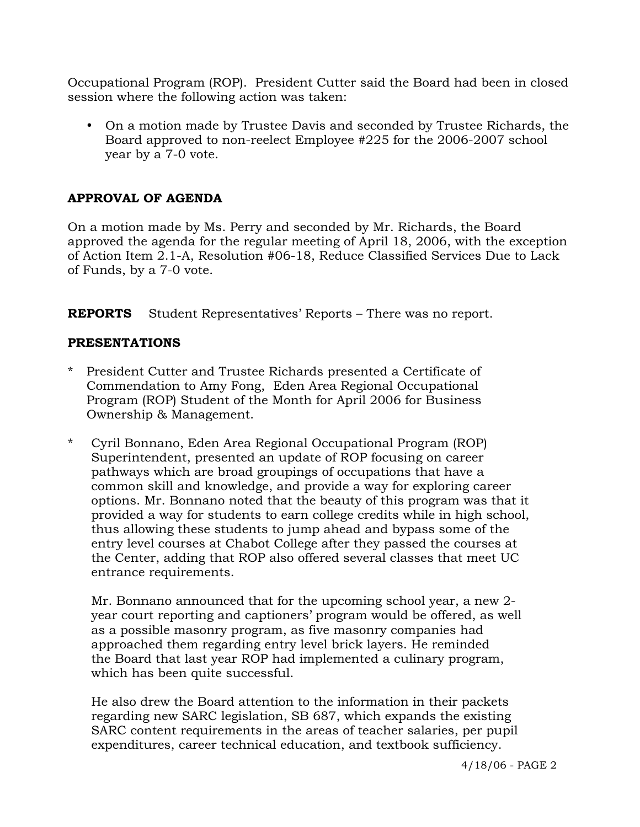Occupational Program (ROP). President Cutter said the Board had been in closed session where the following action was taken:

• On a motion made by Trustee Davis and seconded by Trustee Richards, the Board approved to non-reelect Employee #225 for the 2006-2007 school year by a 7-0 vote.

## **APPROVAL OF AGENDA**

On a motion made by Ms. Perry and seconded by Mr. Richards, the Board approved the agenda for the regular meeting of April 18, 2006, with the exception of Action Item 2.1-A, Resolution #06-18, Reduce Classified Services Due to Lack of Funds, by a 7-0 vote.

**REPORTS** Student Representatives' Reports – There was no report.

#### **PRESENTATIONS**

- \* President Cutter and Trustee Richards presented a Certificate of Commendation to Amy Fong, Eden Area Regional Occupational Program (ROP) Student of the Month for April 2006 for Business Ownership & Management.
- \* Cyril Bonnano, Eden Area Regional Occupational Program (ROP) Superintendent, presented an update of ROP focusing on career pathways which are broad groupings of occupations that have a common skill and knowledge, and provide a way for exploring career options. Mr. Bonnano noted that the beauty of this program was that it provided a way for students to earn college credits while in high school, thus allowing these students to jump ahead and bypass some of the entry level courses at Chabot College after they passed the courses at the Center, adding that ROP also offered several classes that meet UC entrance requirements.

 Mr. Bonnano announced that for the upcoming school year, a new 2 year court reporting and captioners' program would be offered, as well as a possible masonry program, as five masonry companies had approached them regarding entry level brick layers. He reminded the Board that last year ROP had implemented a culinary program, which has been quite successful.

He also drew the Board attention to the information in their packets regarding new SARC legislation, SB 687, which expands the existing SARC content requirements in the areas of teacher salaries, per pupil expenditures, career technical education, and textbook sufficiency.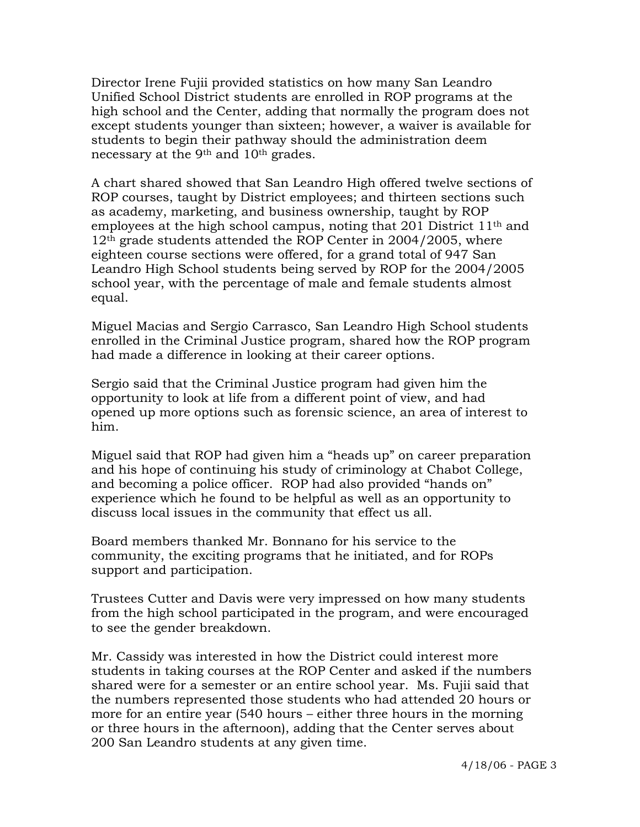Director Irene Fujii provided statistics on how many San Leandro Unified School District students are enrolled in ROP programs at the high school and the Center, adding that normally the program does not except students younger than sixteen; however, a waiver is available for students to begin their pathway should the administration deem necessary at the 9th and 10th grades.

A chart shared showed that San Leandro High offered twelve sections of ROP courses, taught by District employees; and thirteen sections such as academy, marketing, and business ownership, taught by ROP employees at the high school campus, noting that 201 District 11<sup>th</sup> and 12<sup>th</sup> grade students attended the ROP Center in 2004/2005, where eighteen course sections were offered, for a grand total of 947 San Leandro High School students being served by ROP for the 2004/2005 school year, with the percentage of male and female students almost equal.

Miguel Macias and Sergio Carrasco, San Leandro High School students enrolled in the Criminal Justice program, shared how the ROP program had made a difference in looking at their career options.

Sergio said that the Criminal Justice program had given him the opportunity to look at life from a different point of view, and had opened up more options such as forensic science, an area of interest to him.

Miguel said that ROP had given him a "heads up" on career preparation and his hope of continuing his study of criminology at Chabot College, and becoming a police officer. ROP had also provided "hands on" experience which he found to be helpful as well as an opportunity to discuss local issues in the community that effect us all.

Board members thanked Mr. Bonnano for his service to the community, the exciting programs that he initiated, and for ROPs support and participation.

Trustees Cutter and Davis were very impressed on how many students from the high school participated in the program, and were encouraged to see the gender breakdown.

Mr. Cassidy was interested in how the District could interest more students in taking courses at the ROP Center and asked if the numbers shared were for a semester or an entire school year. Ms. Fujii said that the numbers represented those students who had attended 20 hours or more for an entire year (540 hours – either three hours in the morning or three hours in the afternoon), adding that the Center serves about 200 San Leandro students at any given time.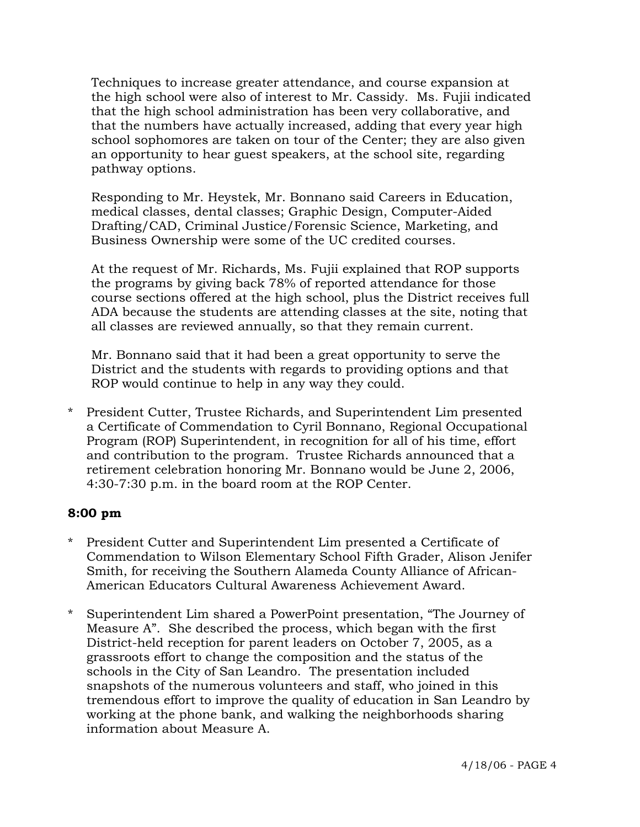Techniques to increase greater attendance, and course expansion at the high school were also of interest to Mr. Cassidy. Ms. Fujii indicated that the high school administration has been very collaborative, and that the numbers have actually increased, adding that every year high school sophomores are taken on tour of the Center; they are also given an opportunity to hear guest speakers, at the school site, regarding pathway options.

Responding to Mr. Heystek, Mr. Bonnano said Careers in Education, medical classes, dental classes; Graphic Design, Computer-Aided Drafting/CAD, Criminal Justice/Forensic Science, Marketing, and Business Ownership were some of the UC credited courses.

At the request of Mr. Richards, Ms. Fujii explained that ROP supports the programs by giving back 78% of reported attendance for those course sections offered at the high school, plus the District receives full ADA because the students are attending classes at the site, noting that all classes are reviewed annually, so that they remain current.

Mr. Bonnano said that it had been a great opportunity to serve the District and the students with regards to providing options and that ROP would continue to help in any way they could.

\* President Cutter, Trustee Richards, and Superintendent Lim presented a Certificate of Commendation to Cyril Bonnano, Regional Occupational Program (ROP) Superintendent, in recognition for all of his time, effort and contribution to the program. Trustee Richards announced that a retirement celebration honoring Mr. Bonnano would be June 2, 2006, 4:30-7:30 p.m. in the board room at the ROP Center.

## **8:00 pm**

- \* President Cutter and Superintendent Lim presented a Certificate of Commendation to Wilson Elementary School Fifth Grader, Alison Jenifer Smith, for receiving the Southern Alameda County Alliance of African-American Educators Cultural Awareness Achievement Award.
- \* Superintendent Lim shared a PowerPoint presentation, "The Journey of Measure A". She described the process, which began with the first District-held reception for parent leaders on October 7, 2005, as a grassroots effort to change the composition and the status of the schools in the City of San Leandro. The presentation included snapshots of the numerous volunteers and staff, who joined in this tremendous effort to improve the quality of education in San Leandro by working at the phone bank, and walking the neighborhoods sharing information about Measure A.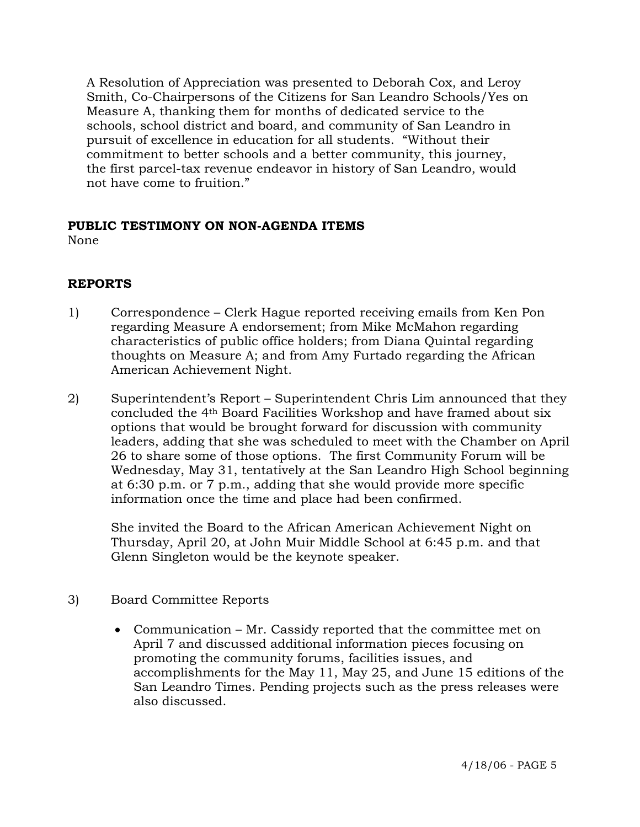A Resolution of Appreciation was presented to Deborah Cox, and Leroy Smith, Co-Chairpersons of the Citizens for San Leandro Schools/Yes on Measure A, thanking them for months of dedicated service to the schools, school district and board, and community of San Leandro in pursuit of excellence in education for all students. "Without their commitment to better schools and a better community, this journey, the first parcel-tax revenue endeavor in history of San Leandro, would not have come to fruition."

# **PUBLIC TESTIMONY ON NON-AGENDA ITEMS**

None

## **REPORTS**

- 1) Correspondence Clerk Hague reported receiving emails from Ken Pon regarding Measure A endorsement; from Mike McMahon regarding characteristics of public office holders; from Diana Quintal regarding thoughts on Measure A; and from Amy Furtado regarding the African American Achievement Night.
- 2) Superintendent's Report Superintendent Chris Lim announced that they concluded the 4th Board Facilities Workshop and have framed about six options that would be brought forward for discussion with community leaders, adding that she was scheduled to meet with the Chamber on April 26 to share some of those options. The first Community Forum will be Wednesday, May 31, tentatively at the San Leandro High School beginning at 6:30 p.m. or 7 p.m., adding that she would provide more specific information once the time and place had been confirmed.

She invited the Board to the African American Achievement Night on Thursday, April 20, at John Muir Middle School at 6:45 p.m. and that Glenn Singleton would be the keynote speaker.

## 3) Board Committee Reports

• Communication – Mr. Cassidy reported that the committee met on April 7 and discussed additional information pieces focusing on promoting the community forums, facilities issues, and accomplishments for the May 11, May 25, and June 15 editions of the San Leandro Times. Pending projects such as the press releases were also discussed.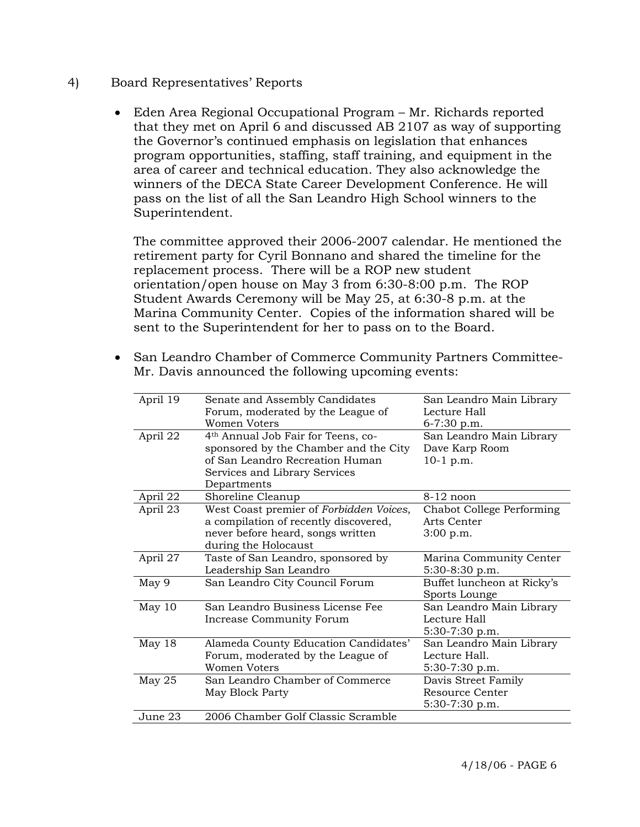- 4) Board Representatives' Reports
	- Eden Area Regional Occupational Program Mr. Richards reported that they met on April 6 and discussed AB 2107 as way of supporting the Governor's continued emphasis on legislation that enhances program opportunities, staffing, staff training, and equipment in the area of career and technical education. They also acknowledge the winners of the DECA State Career Development Conference. He will pass on the list of all the San Leandro High School winners to the Superintendent.

 The committee approved their 2006-2007 calendar. He mentioned the retirement party for Cyril Bonnano and shared the timeline for the replacement process. There will be a ROP new student orientation/open house on May 3 from 6:30-8:00 p.m. The ROP Student Awards Ceremony will be May 25, at 6:30-8 p.m. at the Marina Community Center. Copies of the information shared will be sent to the Superintendent for her to pass on to the Board.

- April 19 Senate and Assembly Candidates Forum, moderated by the League of Women Voters San Leandro Main Library Lecture Hall 6-7:30 p.m. April 22 4th Annual Job Fair for Teens, cosponsored by the Chamber and the City of San Leandro Recreation Human Services and Library Services Departments San Leandro Main Library Dave Karp Room 10-1 p.m. April 22 Shoreline Cleanup 8-12 noon April 23 West Coast premier of *Forbidden Voices*, a compilation of recently discovered, never before heard, songs written during the Holocaust Chabot College Performing Arts Center 3:00 p.m. April 27 Taste of San Leandro, sponsored by Leadership San Leandro Marina Community Center 5:30-8:30 p.m. May 9 San Leandro City Council Forum Sports Lounge May 10 San Leandro Business License Fee Increase Community Forum San Leandro Main Library Lecture Hall 5:30-7:30 p.m. May 18 Alameda County Education Candidates' Forum, moderated by the League of Women Voters San Leandro Main Library Lecture Hall. 5:30-7:30 p.m. May 25 San Leandro Chamber of Commerce May Block Party Davis Street Family Resource Center 5:30-7:30 p.m. June 23 2006 Chamber Golf Classic Scramble
- San Leandro Chamber of Commerce Community Partners Committee-Mr. Davis announced the following upcoming events: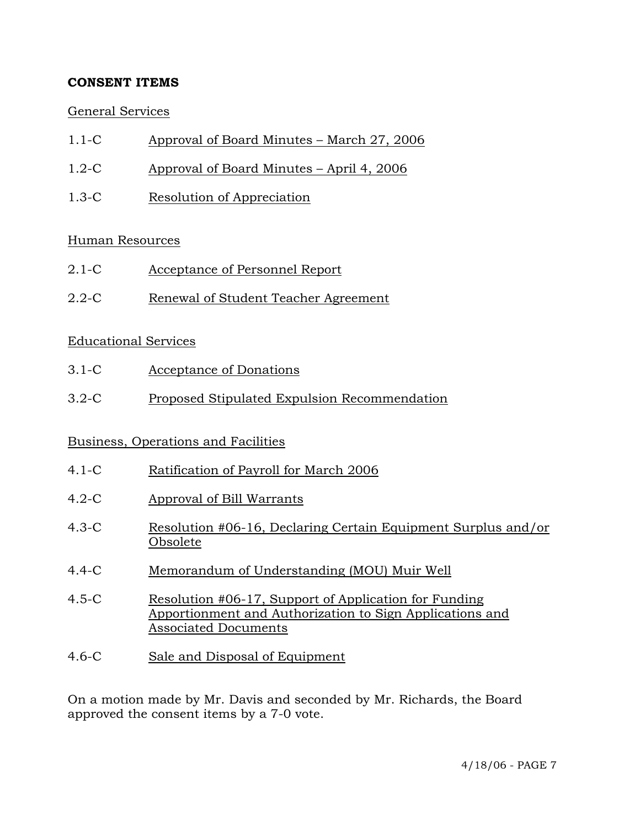## **CONSENT ITEMS**

## General Services

- 1.1-C Approval of Board Minutes March 27, 2006
- 1.2-C Approval of Board Minutes April 4, 2006
- 1.3-C Resolution of Appreciation

## Human Resources

- 2.1-C Acceptance of Personnel Report
- 2.2-C Renewal of Student Teacher Agreement

#### Educational Services

- 3.1-C Acceptance of Donations
- 3.2-C Proposed Stipulated Expulsion Recommendation

## Business, Operations and Facilities

- 4.1-C Ratification of Payroll for March 2006
- 4.2-C Approval of Bill Warrants
- 4.3-C Resolution #06-16, Declaring Certain Equipment Surplus and/or Obsolete
- 4.4-C Memorandum of Understanding (MOU) Muir Well
- 4.5-C Resolution #06-17, Support of Application for Funding Apportionment and Authorization to Sign Applications and Associated Documents
- 4.6-C Sale and Disposal of Equipment

On a motion made by Mr. Davis and seconded by Mr. Richards, the Board approved the consent items by a 7-0 vote.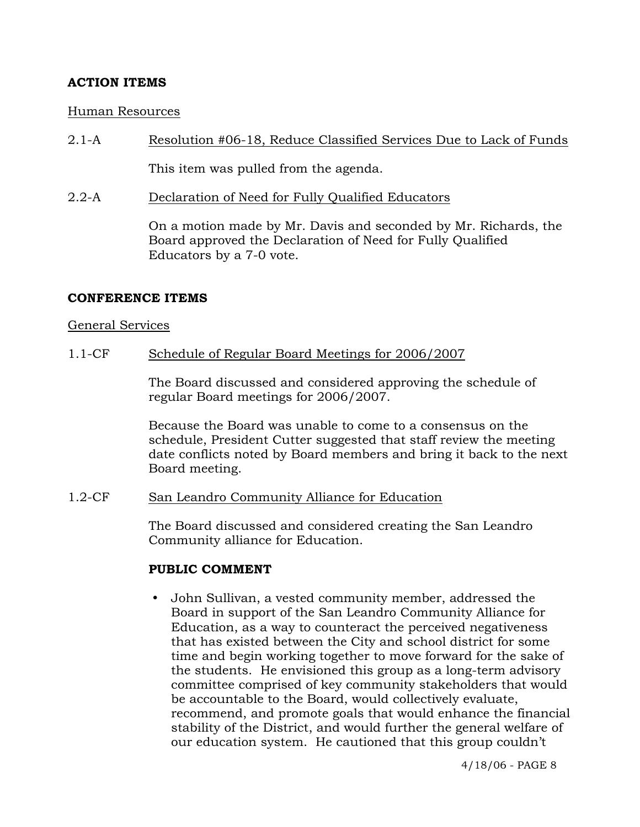## **ACTION ITEMS**

#### Human Resources

2.1-A Resolution #06-18, Reduce Classified Services Due to Lack of Funds

This item was pulled from the agenda.

2.2-A Declaration of Need for Fully Qualified Educators

On a motion made by Mr. Davis and seconded by Mr. Richards, the Board approved the Declaration of Need for Fully Qualified Educators by a 7-0 vote.

#### **CONFERENCE ITEMS**

#### General Services

#### 1.1-CF Schedule of Regular Board Meetings for 2006/2007

The Board discussed and considered approving the schedule of regular Board meetings for 2006/2007.

Because the Board was unable to come to a consensus on the schedule, President Cutter suggested that staff review the meeting date conflicts noted by Board members and bring it back to the next Board meeting.

## 1.2-CF San Leandro Community Alliance for Education

The Board discussed and considered creating the San Leandro Community alliance for Education.

## **PUBLIC COMMENT**

y John Sullivan, a vested community member, addressed the Board in support of the San Leandro Community Alliance for Education, as a way to counteract the perceived negativeness that has existed between the City and school district for some time and begin working together to move forward for the sake of the students. He envisioned this group as a long-term advisory committee comprised of key community stakeholders that would be accountable to the Board, would collectively evaluate, recommend, and promote goals that would enhance the financial stability of the District, and would further the general welfare of our education system. He cautioned that this group couldn't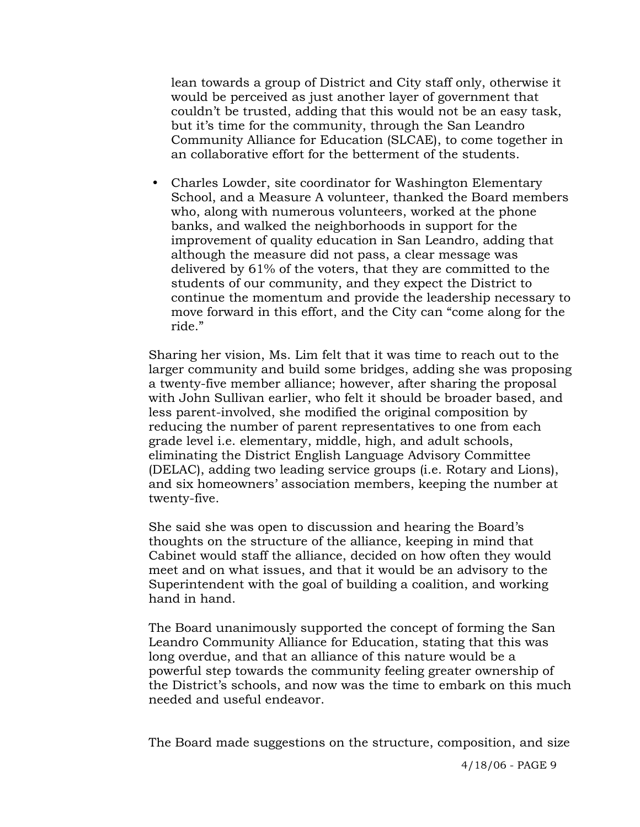lean towards a group of District and City staff only, otherwise it would be perceived as just another layer of government that couldn't be trusted, adding that this would not be an easy task, but it's time for the community, through the San Leandro Community Alliance for Education (SLCAE), to come together in an collaborative effort for the betterment of the students.

• Charles Lowder, site coordinator for Washington Elementary School, and a Measure A volunteer, thanked the Board members who, along with numerous volunteers, worked at the phone banks, and walked the neighborhoods in support for the improvement of quality education in San Leandro, adding that although the measure did not pass, a clear message was delivered by 61% of the voters, that they are committed to the students of our community, and they expect the District to continue the momentum and provide the leadership necessary to move forward in this effort, and the City can "come along for the ride."

Sharing her vision, Ms. Lim felt that it was time to reach out to the larger community and build some bridges, adding she was proposing a twenty-five member alliance; however, after sharing the proposal with John Sullivan earlier, who felt it should be broader based, and less parent-involved, she modified the original composition by reducing the number of parent representatives to one from each grade level i.e. elementary, middle, high, and adult schools, eliminating the District English Language Advisory Committee (DELAC), adding two leading service groups (i.e. Rotary and Lions), and six homeowners' association members, keeping the number at twenty-five.

She said she was open to discussion and hearing the Board's thoughts on the structure of the alliance, keeping in mind that Cabinet would staff the alliance, decided on how often they would meet and on what issues, and that it would be an advisory to the Superintendent with the goal of building a coalition, and working hand in hand.

The Board unanimously supported the concept of forming the San Leandro Community Alliance for Education, stating that this was long overdue, and that an alliance of this nature would be a powerful step towards the community feeling greater ownership of the District's schools, and now was the time to embark on this much needed and useful endeavor.

The Board made suggestions on the structure, composition, and size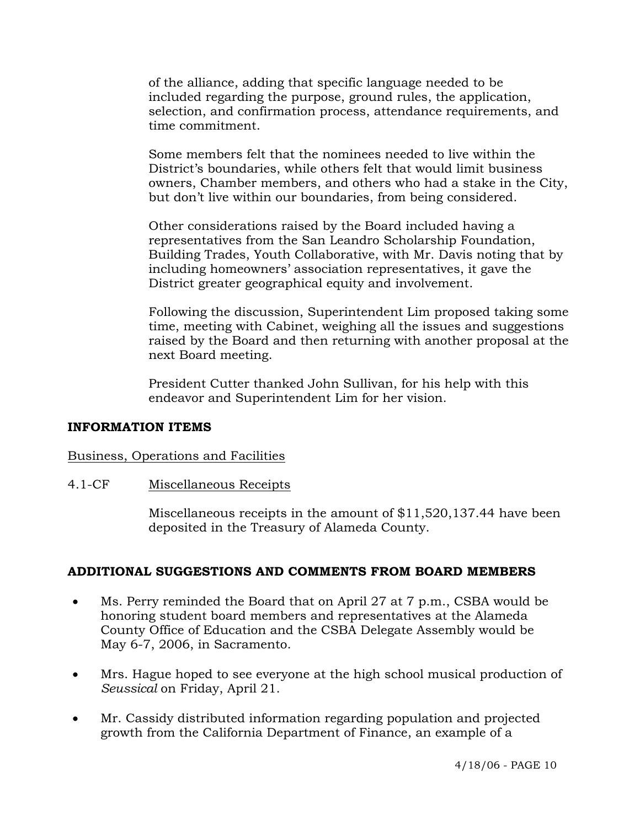of the alliance, adding that specific language needed to be included regarding the purpose, ground rules, the application, selection, and confirmation process, attendance requirements, and time commitment.

Some members felt that the nominees needed to live within the District's boundaries, while others felt that would limit business owners, Chamber members, and others who had a stake in the City, but don't live within our boundaries, from being considered.

Other considerations raised by the Board included having a representatives from the San Leandro Scholarship Foundation, Building Trades, Youth Collaborative, with Mr. Davis noting that by including homeowners' association representatives, it gave the District greater geographical equity and involvement.

Following the discussion, Superintendent Lim proposed taking some time, meeting with Cabinet, weighing all the issues and suggestions raised by the Board and then returning with another proposal at the next Board meeting.

President Cutter thanked John Sullivan, for his help with this endeavor and Superintendent Lim for her vision.

## **INFORMATION ITEMS**

## Business, Operations and Facilities

## 4.1-CF Miscellaneous Receipts

Miscellaneous receipts in the amount of \$11,520,137.44 have been deposited in the Treasury of Alameda County.

## **ADDITIONAL SUGGESTIONS AND COMMENTS FROM BOARD MEMBERS**

- Ms. Perry reminded the Board that on April 27 at 7 p.m., CSBA would be honoring student board members and representatives at the Alameda County Office of Education and the CSBA Delegate Assembly would be May 6-7, 2006, in Sacramento.
- Mrs. Hague hoped to see everyone at the high school musical production of *Seussical* on Friday, April 21.
- Mr. Cassidy distributed information regarding population and projected growth from the California Department of Finance, an example of a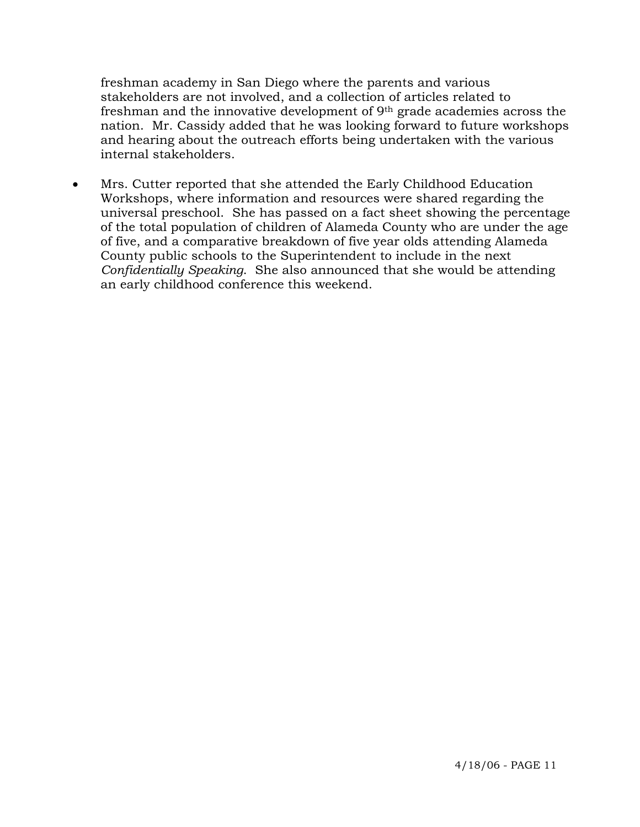freshman academy in San Diego where the parents and various stakeholders are not involved, and a collection of articles related to freshman and the innovative development of 9th grade academies across the nation. Mr. Cassidy added that he was looking forward to future workshops and hearing about the outreach efforts being undertaken with the various internal stakeholders.

• Mrs. Cutter reported that she attended the Early Childhood Education Workshops, where information and resources were shared regarding the universal preschool. She has passed on a fact sheet showing the percentage of the total population of children of Alameda County who are under the age of five, and a comparative breakdown of five year olds attending Alameda County public schools to the Superintendent to include in the next *Confidentially Speaking*. She also announced that she would be attending an early childhood conference this weekend.